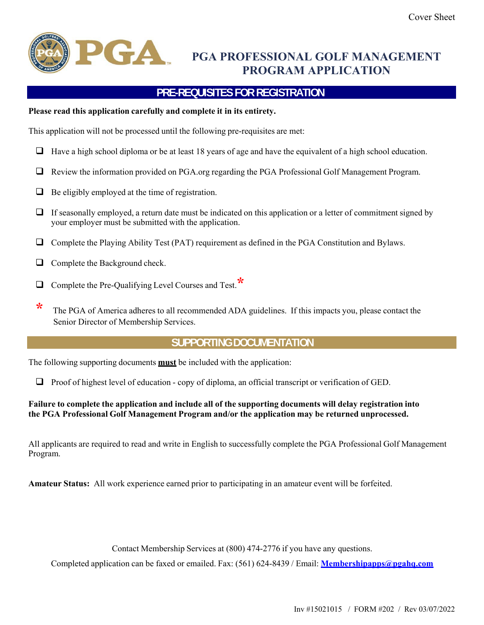

## **PGA PROFESSIONAL GOLF MANAGEMENT PROGRAM APPLICATION**

## **PRE-REQUISITES FOR REGISTRATION**

#### **Please read this application carefully and complete it in its entirety.**

This application will not be processed until the following pre-requisites are met:

- $\Box$  Have a high school diploma or be at least 18 years of age and have the equivalent of a high school education.
- Review the information provided on PGA.org regarding the PGA Professional Golf Management Program.
- $\Box$  Be eligibly employed at the time of registration.
- $\Box$  If seasonally employed, a return date must be indicated on this application or a letter of commitment signed by your employer must be submitted with the application.
- Complete the Playing Ability Test (PAT) requirement as defined in the PGA Constitution and Bylaws.
- $\Box$  Complete the Background check.
- Complete the Pre-Qualifying Level Courses and Test.**\***
- **\*** The PGA of America adheres to all recommended ADA guidelines. If this impacts you, please contact the Senior Director of Membership Services.

### **SUPPORTING DOCUMENTATION**

The following supporting documents **must** be included with the application:

 $\Box$  Proof of highest level of education - copy of diploma, an official transcript or verification of GED.

#### **Failure to complete the application and include all of the supporting documents will delay registration into the PGA Professional Golf Management Program and/or the application may be returned unprocessed.**

All applicants are required to read and write in English to successfully complete the PGA Professional Golf Management Program.

**Amateur Status:** All work experience earned prior to participating in an amateur event will be forfeited.

Contact Membership Services at (800) 474-2776 if you have any questions.

Completed application can be faxed or emailed. Fax: (561) 624-8439 / Email: **Membershipapps@pgahq.com**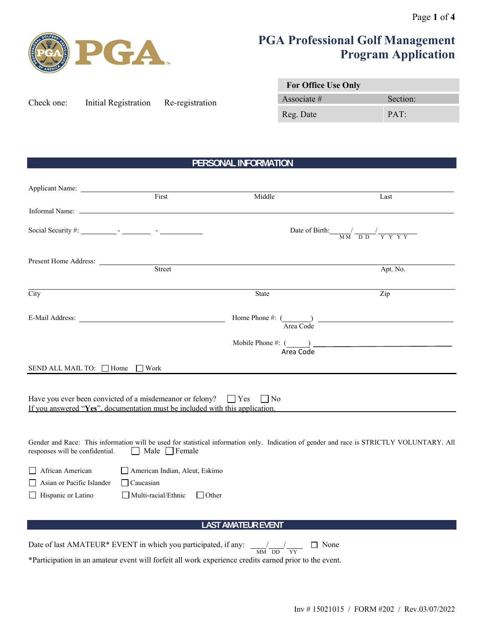

# **PGA Professional Golf Management Program Application**

| Check one: | Initial Registration | Re-registration |
|------------|----------------------|-----------------|
|            |                      |                 |

| <b>For Office Use Only</b> |          |  |
|----------------------------|----------|--|
| Associate $#$              | Section: |  |
| Reg. Date                  | PAT:     |  |

## **PERSONAL INFORMATION**

| Applicant Name:                                                                                                                                               |                                                                                  |                                                                                |                                                                                                                                           |
|---------------------------------------------------------------------------------------------------------------------------------------------------------------|----------------------------------------------------------------------------------|--------------------------------------------------------------------------------|-------------------------------------------------------------------------------------------------------------------------------------------|
|                                                                                                                                                               | First                                                                            | Middle                                                                         | Last                                                                                                                                      |
|                                                                                                                                                               |                                                                                  |                                                                                |                                                                                                                                           |
|                                                                                                                                                               |                                                                                  |                                                                                | Date of Birth: $\frac{1}{M M} \frac{1}{D D} \frac{1}{Y Y Y Y Y}$                                                                          |
|                                                                                                                                                               |                                                                                  |                                                                                |                                                                                                                                           |
|                                                                                                                                                               |                                                                                  | Present Home Address: <u>Street</u>                                            | Apt. No.                                                                                                                                  |
| City                                                                                                                                                          |                                                                                  | <b>State</b>                                                                   | Zip                                                                                                                                       |
|                                                                                                                                                               |                                                                                  |                                                                                | Home Phone #: $\frac{1}{\text{Area Code}}$                                                                                                |
|                                                                                                                                                               |                                                                                  |                                                                                | $\begin{array}{c}\n \text{Mobile Phone \#: } (\underline{\hspace{1cm}}) \quad \text{Area Code}\n \end{array}$                             |
| SEND ALL MAIL TO: □ Home □ Work                                                                                                                               |                                                                                  |                                                                                |                                                                                                                                           |
| Have you ever been convicted of a misdemeanor or felony? $\Box$ Yes $\Box$ No<br>If you answered "Yes", documentation must be included with this application. |                                                                                  |                                                                                |                                                                                                                                           |
| responses will be confidential.<br>$\perp$                                                                                                                    | Male $\Box$ Female                                                               |                                                                                | Gender and Race: This information will be used for statistical information only. Indication of gender and race is STRICTLY VOLUNTARY. All |
| African American<br>Asian or Pacific Islander<br>Hispanic or Latino<br>$\perp$                                                                                | American Indian, Aleut, Eskimo<br>$\Box$ Caucasian<br>$\Box$ Multi-racial/Ethnic | $\Box$ Other                                                                   |                                                                                                                                           |
|                                                                                                                                                               |                                                                                  | <b>LAST AMATEUR EVENT</b>                                                      |                                                                                                                                           |
|                                                                                                                                                               |                                                                                  | □ None<br>$\overline{\text{MM}} \ \overline{\text{DD}} \ \overline{\text{YY}}$ |                                                                                                                                           |

\*Participation in an amateur event will forfeit all work experience credits earned prior to the event.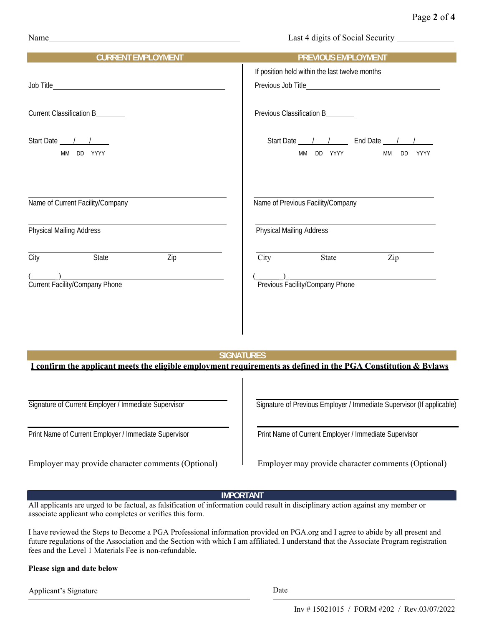| Name | Last 4 digits of Social Security |
|------|----------------------------------|
|      |                                  |

| <b>CURRENT EMPLOYMENT</b>                             | PREVIOUS EMPLOYMENT                                                                                                                 |
|-------------------------------------------------------|-------------------------------------------------------------------------------------------------------------------------------------|
|                                                       | If position held within the last twelve months                                                                                      |
|                                                       | Previous Job Title <b>Exercise Server Access 1996</b>                                                                               |
|                                                       |                                                                                                                                     |
| Current Classification B_______                       | Previous Classification B_______                                                                                                    |
|                                                       |                                                                                                                                     |
| Start Date $\frac{1}{1}$                              | Start Date <u>1 / 1</u> End Date 1 /                                                                                                |
| MM DD YYYY                                            | MM DD YYYY<br>MM DD YYYY                                                                                                            |
|                                                       |                                                                                                                                     |
|                                                       |                                                                                                                                     |
|                                                       |                                                                                                                                     |
| Name of Current Facility/Company                      | Name of Previous Facility/Company                                                                                                   |
|                                                       |                                                                                                                                     |
| <b>Physical Mailing Address</b>                       | Physical Mailing Address                                                                                                            |
|                                                       |                                                                                                                                     |
| State<br>$\overline{Zip}$<br><b>City</b>              | $\overline{\text{City}}$<br>State<br>$\overline{Zip}$                                                                               |
|                                                       |                                                                                                                                     |
| (Courrent Facility/Company Phone                      | Previous Facility/Company Phone                                                                                                     |
|                                                       |                                                                                                                                     |
|                                                       |                                                                                                                                     |
|                                                       |                                                                                                                                     |
|                                                       |                                                                                                                                     |
|                                                       |                                                                                                                                     |
|                                                       | <b>SIGNATURES</b><br>I confirm the applicant meets the eligible employment requirements as defined in the PGA Constitution & Bylaws |
|                                                       |                                                                                                                                     |
|                                                       |                                                                                                                                     |
| Signature of Current Employer / Immediate Supervisor  | Signature of Previous Employer / Immediate Supervisor (If applicable)                                                               |
|                                                       |                                                                                                                                     |
|                                                       |                                                                                                                                     |
| Print Name of Current Employer / Immediate Supervisor | Print Name of Current Employer / Immediate Supervisor                                                                               |
|                                                       |                                                                                                                                     |

Employer may provide character comments (Optional) Employer may provide character comments (Optional)

#### **IMPORTANT**

All applicants are urged to be factual, as falsification of information could result in disciplinary action against any member or associate applicant who completes or verifies this form.

I have reviewed the Steps to Become a PGA Professional information provided on PGA.org and I agree to abide by all present and future regulations of the Association and the Section with which I am affiliated. I understand that the Associate Program registration fees and the Level 1 Materials Fee is non-refundable.

#### **Please sign and date below**

Applicant's Signature Date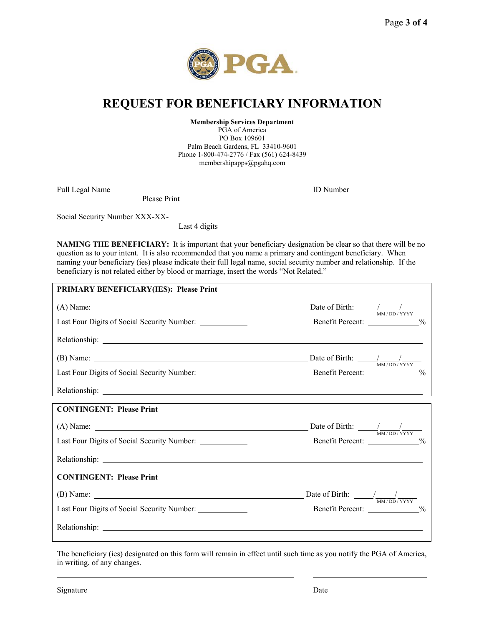

## **REQUEST FOR BENEFICIARY INFORMATION**

**Membership Services Department**

PGA of America PO Box 109601 Palm Beach Gardens, FL 33410-9601 Phone 1-800-474-2776 / Fax (561) 624-8439 membershipapps@pgahq.com

Full Legal Name

ID Number

Please Print

Social Security Number XXX-XX-

Last 4 digits

**NAMING THE BENEFICIARY:** It is important that your beneficiary designation be clear so that there will be no question as to your intent. It is also recommended that you name a primary and contingent beneficiary. When naming your beneficiary (ies) please indicate their full legal name, social security number and relationship. If the beneficiary is not related either by blood or marriage, insert the words "Not Related."

| <b>PRIMARY BENEFICIARY(IES): Please Print</b>             |                                         |
|-----------------------------------------------------------|-----------------------------------------|
|                                                           |                                         |
| Last Four Digits of Social Security Number: ____________  | Benefit Percent: _____________%         |
|                                                           |                                         |
|                                                           |                                         |
| Last Four Digits of Social Security Number: ____________  | Benefit Percent: ____________%          |
|                                                           |                                         |
| <b>CONTINGENT: Please Print</b>                           |                                         |
|                                                           |                                         |
|                                                           | Benefit Percent: ____________%          |
|                                                           |                                         |
| <b>CONTINGENT: Please Print</b>                           |                                         |
|                                                           | Date of Birth: $\frac{1}{M M/DD}$ /YYYY |
| Last Four Digits of Social Security Number: _____________ | Benefit Percent: ____________%          |
|                                                           |                                         |

The beneficiary (ies) designated on this form will remain in effect until such time as you notify the PGA of America, in writing, of any changes.